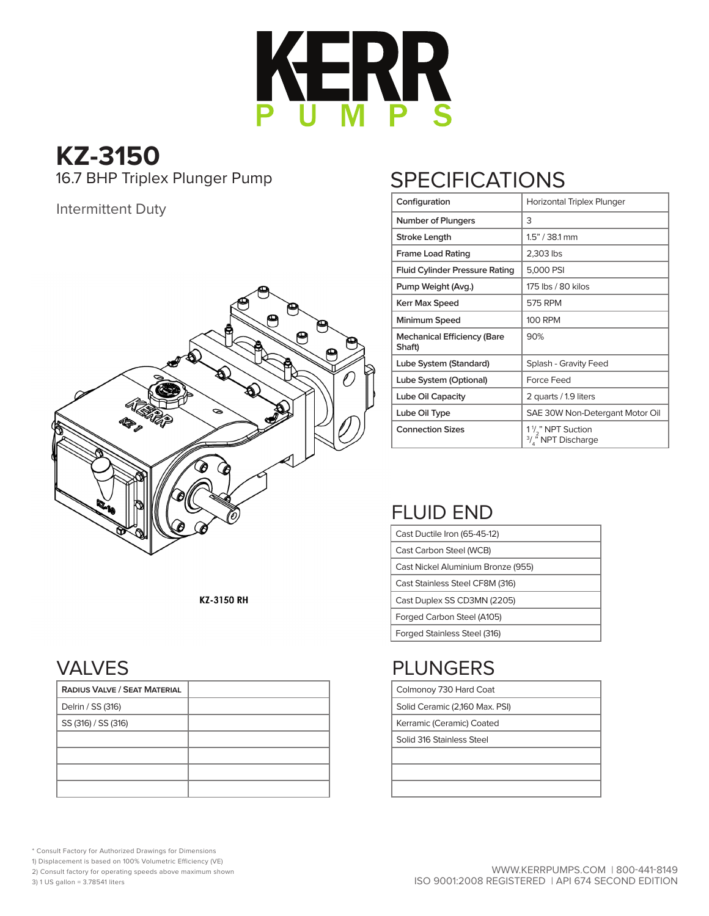

# **KZ-3150**

16.7 BHP Triplex Plunger Pump

### Intermittent Duty



#### KZ-3150 RH

### VALVES

| <b>RADIUS VALVE / SEAT MATERIAL</b> |  |
|-------------------------------------|--|
| Delrin / SS (316)                   |  |
| SS (316) / SS (316)                 |  |
|                                     |  |
|                                     |  |
|                                     |  |
|                                     |  |

## **SPECIFICATIONS**

| Configuration                                | Horizontal Triplex Plunger                                                              |  |  |  |  |  |
|----------------------------------------------|-----------------------------------------------------------------------------------------|--|--|--|--|--|
| Number of Plungers                           | 3                                                                                       |  |  |  |  |  |
| Stroke Length                                | $1.5" / 38.1$ mm                                                                        |  |  |  |  |  |
| <b>Frame Load Rating</b>                     | 2,303 lbs                                                                               |  |  |  |  |  |
| <b>Fluid Cylinder Pressure Rating</b>        | 5,000 PSI                                                                               |  |  |  |  |  |
| Pump Weight (Avg.)                           | 175 lbs / 80 kilos                                                                      |  |  |  |  |  |
| <b>Kerr Max Speed</b>                        | 575 RPM                                                                                 |  |  |  |  |  |
| Minimum Speed                                | <b>100 RPM</b>                                                                          |  |  |  |  |  |
| <b>Mechanical Efficiency (Bare</b><br>Shaft) | 90%                                                                                     |  |  |  |  |  |
| Lube System (Standard)                       | Splash - Gravity Feed                                                                   |  |  |  |  |  |
| Lube System (Optional)                       | <b>Force Feed</b>                                                                       |  |  |  |  |  |
| Lube Oil Capacity                            | 2 quarts / 1.9 liters                                                                   |  |  |  |  |  |
| Lube Oil Type                                | SAE 30W Non-Detergant Motor Oil                                                         |  |  |  |  |  |
| <b>Connection Sizes</b>                      | 1 <sup>1</sup> / <sub>2</sub> " NPT Suction<br>$\frac{3}{4}$ <sup>3</sup> NPT Discharge |  |  |  |  |  |

## FLUID END

| Cast Ductile Iron (65-45-12)       |
|------------------------------------|
| Cast Carbon Steel (WCB)            |
| Cast Nickel Aluminium Bronze (955) |
| Cast Stainless Steel CF8M (316)    |
| Cast Duplex SS CD3MN (2205)        |
| Forged Carbon Steel (A105)         |
| Forged Stainless Steel (316)       |

## PLUNGERS

| Colmonoy 730 Hard Coat |  |
|------------------------|--|
|                        |  |

- Solid Ceramic (2,160 Max. PSI)
- Kerramic (Ceramic) Coated

Solid 316 Stainless Steel

\* Consult Factory for Authorized Drawings for Dimensions

1) Displacement is based on 100% Volumetric Efficiency (VE)

2) Consult factory for operating speeds above maximum shown